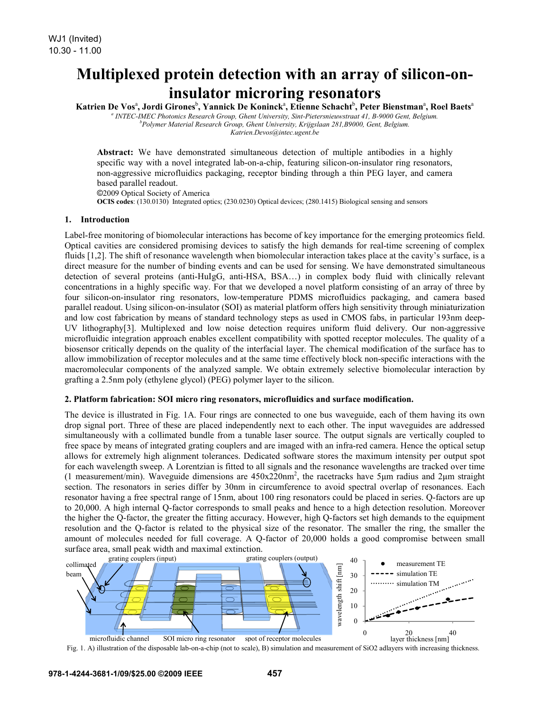# **Multiplexed protein detection with an array of silicon-oninsulator microring resonators**

Katrien De Vos<sup>a</sup>, Jordi Girones<sup>b</sup>, Yannick De Koninck<sup>a</sup>, Etienne Schacht<sup>b</sup>, Peter Bienstman<sup>a</sup>, Roel Baets<sup>a</sup>

<sup>a</sup> INTEC-IMEC Photonics Research Group, Ghent University, Sint-Pietersnieuwstraat 41, B-9000 Gent, Belgium.<br><sup>b</sup> Doluman Mataxial Besearch Croup, Chart University, Kniiselsen 281, B0000, Cart, Belgium. *Polymer Material Research Group, Ghent University, Krijgslaan 281,B9000, Gent, Belgium. Katrien.Devos@intec.ugent.be* 

**Abstract:** We have demonstrated simultaneous detection of multiple antibodies in a highly specific way with a novel integrated lab-on-a-chip, featuring silicon-on-insulator ring resonators, non-aggressive microfluidics packaging, receptor binding through a thin PEG layer, and camera based parallel readout.

©2009 Optical Society of America **OCIS codes**: (130.0130) Integrated optics; (230.0230) Optical devices; (280.1415) Biological sensing and sensors

## **1. Introduction**

Label-free monitoring of biomolecular interactions has become of key importance for the emerging proteomics field. Optical cavities are considered promising devices to satisfy the high demands for real-time screening of complex fluids [1,2]. The shift of resonance wavelength when biomolecular interaction takes place at the cavity's surface, is a direct measure for the number of binding events and can be used for sensing. We have demonstrated simultaneous detection of several proteins (anti-HuIgG, anti-HSA, BSA…) in complex body fluid with clinically relevant concentrations in a highly specific way. For that we developed a novel platform consisting of an array of three by four silicon-on-insulator ring resonators, low-temperature PDMS microfluidics packaging, and camera based parallel readout. Using silicon-on-insulator (SOI) as material platform offers high sensitivity through miniaturization and low cost fabrication by means of standard technology steps as used in CMOS fabs, in particular 193nm deep-UV lithography[3]. Multiplexed and low noise detection requires uniform fluid delivery. Our non-aggressive microfluidic integration approach enables excellent compatibility with spotted receptor molecules. The quality of a biosensor critically depends on the quality of the interfacial layer. The chemical modification of the surface has to allow immobilization of receptor molecules and at the same time effectively block non-specific interactions with the macromolecular components of the analyzed sample. We obtain extremely selective biomolecular interaction by grafting a 2.5nm poly (ethylene glycol) (PEG) polymer layer to the silicon.

## **2. Platform fabrication: SOI micro ring resonators, microfluidics and surface modification.**

The device is illustrated in Fig. 1A. Four rings are connected to one bus waveguide, each of them having its own drop signal port. Three of these are placed independently next to each other. The input waveguides are addressed simultaneously with a collimated bundle from a tunable laser source. The output signals are vertically coupled to free space by means of integrated grating couplers and are imaged with an infra-red camera. Hence the optical setup allows for extremely high alignment tolerances. Dedicated software stores the maximum intensity per output spot for each wavelength sweep. A Lorentzian is fitted to all signals and the resonance wavelengths are tracked over time (1 measurement/min). Waveguide dimensions are  $450x220$ nm<sup>2</sup>, the racetracks have 5μm radius and 2μm straight section. The resonators in series differ by 30nm in circumference to avoid spectral overlap of resonances. Each resonator having a free spectral range of 15nm, about 100 ring resonators could be placed in series. Q-factors are up to 20,000. A high internal Q-factor corresponds to small peaks and hence to a high detection resolution. Moreover the higher the Q-factor, the greater the fitting accuracy. However, high Q-factors set high demands to the equipment resolution and the Q-factor is related to the physical size of the resonator. The smaller the ring, the smaller the amount of molecules needed for full coverage. A Q-factor of 20,000 holds a good compromise between small surface area, small peak width and maximal extinction.



Fig. 1. A) illustration of the disposable lab-on-a-chip (not to scale), B) simulation and measurement of SiO2 adlayers with increasing thickness.